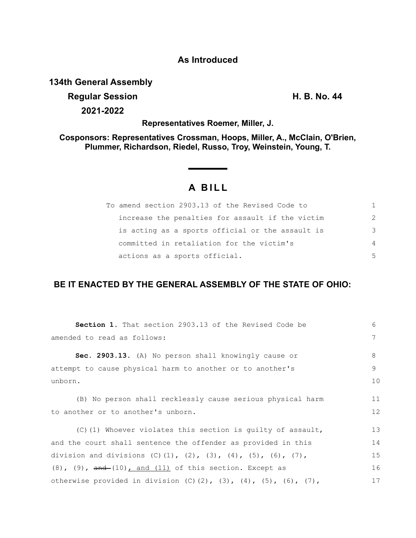### **As Introduced**

## **134th General Assembly**

**Regular Session H. B. No. 44**

**2021-2022**

**Representatives Roemer, Miller, J.**

**Cosponsors: Representatives Crossman, Hoops, Miller, A., McClain, O'Brien, Plummer, Richardson, Riedel, Russo, Troy, Weinstein, Young, T.**

# **A BILL**

| To amend section 2903.13 of the Revised Code to  |                |
|--------------------------------------------------|----------------|
| increase the penalties for assault if the victim | $\mathcal{P}$  |
| is acting as a sports official or the assault is | 3              |
| committed in retaliation for the victim's        | $\overline{4}$ |
| actions as a sports official.                    | 5              |

## **BE IT ENACTED BY THE GENERAL ASSEMBLY OF THE STATE OF OHIO:**

| Section 1. That section 2903.13 of the Revised Code be                               | $6^{\circ}$ |
|--------------------------------------------------------------------------------------|-------------|
| amended to read as follows:                                                          | 7           |
| Sec. 2903.13. (A) No person shall knowingly cause or                                 | 8           |
| attempt to cause physical harm to another or to another's                            | 9           |
| unborn.                                                                              | 10          |
| (B) No person shall recklessly cause serious physical harm                           | 11          |
| to another or to another's unborn.                                                   | 12          |
| $(C)$ (1) Whoever violates this section is quilty of assault,                        | 13          |
| and the court shall sentence the offender as provided in this                        | 14          |
| division and divisions $(C)$ $(1)$ , $(2)$ , $(3)$ , $(4)$ , $(5)$ , $(6)$ , $(7)$ , | 15          |
| $(8)$ , $(9)$ , and $(10)$ , and $(11)$ of this section. Except as                   | 16          |
| otherwise provided in division (C)(2), (3), (4), (5), (6), (7),                      | 17          |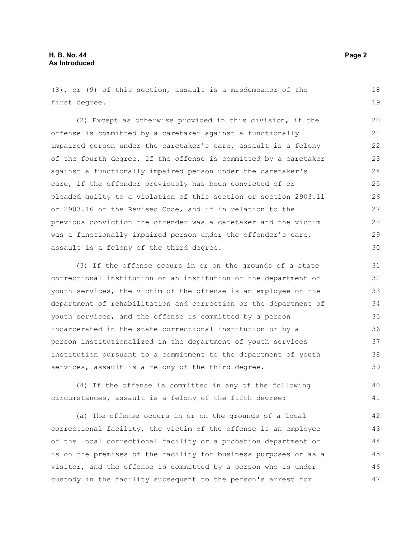(8), or (9) of this section, assault is a misdemeanor of the first degree. 18 19

(2) Except as otherwise provided in this division, if the offense is committed by a caretaker against a functionally impaired person under the caretaker's care, assault is a felony of the fourth degree. If the offense is committed by a caretaker against a functionally impaired person under the caretaker's care, if the offender previously has been convicted of or pleaded guilty to a violation of this section or section 2903.11 or 2903.16 of the Revised Code, and if in relation to the previous conviction the offender was a caretaker and the victim was a functionally impaired person under the offender's care, assault is a felony of the third degree. 20 21 22 25 26 27 28 29

(3) If the offense occurs in or on the grounds of a state correctional institution or an institution of the department of youth services, the victim of the offense is an employee of the department of rehabilitation and correction or the department of youth services, and the offense is committed by a person incarcerated in the state correctional institution or by a person institutionalized in the department of youth services institution pursuant to a commitment to the department of youth services, assault is a felony of the third degree.

(4) If the offense is committed in any of the following circumstances, assault is a felony of the fifth degree: 40 41

(a) The offense occurs in or on the grounds of a local correctional facility, the victim of the offense is an employee of the local correctional facility or a probation department or is on the premises of the facility for business purposes or as a visitor, and the offense is committed by a person who is under custody in the facility subsequent to the person's arrest for 42 43 44 45 46 47

23  $24$ 

30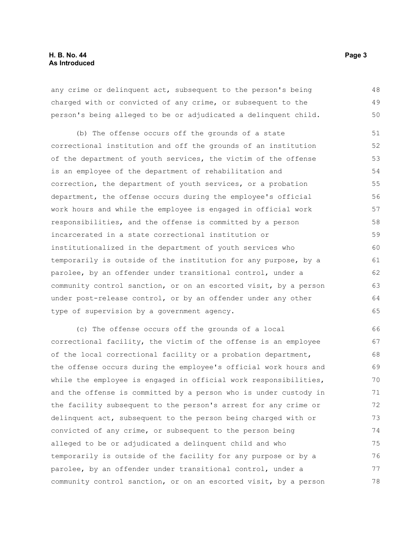any crime or delinquent act, subsequent to the person's being charged with or convicted of any crime, or subsequent to the person's being alleged to be or adjudicated a delinquent child. 48 49 50

(b) The offense occurs off the grounds of a state correctional institution and off the grounds of an institution of the department of youth services, the victim of the offense is an employee of the department of rehabilitation and correction, the department of youth services, or a probation department, the offense occurs during the employee's official work hours and while the employee is engaged in official work responsibilities, and the offense is committed by a person incarcerated in a state correctional institution or institutionalized in the department of youth services who temporarily is outside of the institution for any purpose, by a parolee, by an offender under transitional control, under a community control sanction, or on an escorted visit, by a person under post-release control, or by an offender under any other type of supervision by a government agency. 51 52 53 54 55 56 57 58 59 60 61 62 63 64 65

(c) The offense occurs off the grounds of a local correctional facility, the victim of the offense is an employee of the local correctional facility or a probation department, the offense occurs during the employee's official work hours and while the employee is engaged in official work responsibilities, and the offense is committed by a person who is under custody in the facility subsequent to the person's arrest for any crime or delinquent act, subsequent to the person being charged with or convicted of any crime, or subsequent to the person being alleged to be or adjudicated a delinquent child and who temporarily is outside of the facility for any purpose or by a parolee, by an offender under transitional control, under a community control sanction, or on an escorted visit, by a person 66 67 68 69 70 71 72 73 74 75 76 77 78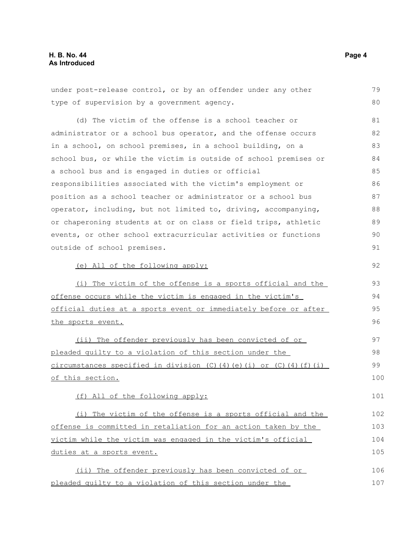under post-release control, or by an offender under any other type of supervision by a government agency. (d) The victim of the offense is a school teacher or administrator or a school bus operator, and the offense occurs in a school, on school premises, in a school building, on a school bus, or while the victim is outside of school premises or a school bus and is engaged in duties or official responsibilities associated with the victim's employment or position as a school teacher or administrator or a school bus operator, including, but not limited to, driving, accompanying, or chaperoning students at or on class or field trips, athletic events, or other school extracurricular activities or functions outside of school premises. (e) All of the following apply: (i) The victim of the offense is a sports official and the offense occurs while the victim is engaged in the victim's official duties at a sports event or immediately before or after the sports event. (ii) The offender previously has been convicted of or pleaded guilty to a violation of this section under the circumstances specified in division  $(C)$  (4)(e)(i) or  $(C)$  (4)(f)(i) of this section. (f) All of the following apply: (i) The victim of the offense is a sports official and the offense is committed in retaliation for an action taken by the victim while the victim was engaged in the victim's official duties at a sports event. (ii) The offender previously has been convicted of or 79 80 81 82 83 84 85 86 87 88 89 90 91 92 93 94 95 96 97 98 99 100 101 102 103 104 105 106

pleaded guilty to a violation of this section under the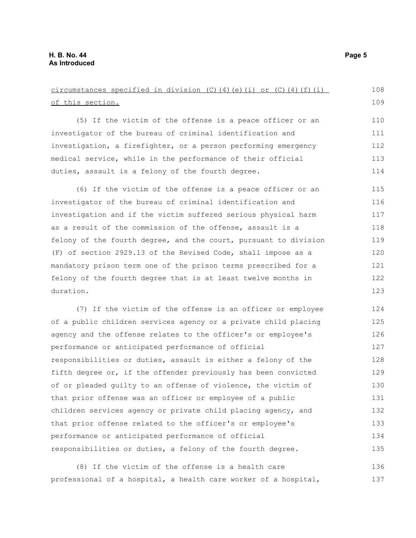| circumstances specified in division $(C)$ (4) (e) (i) or $(C)$ (4) (f) (i) | 108 |
|----------------------------------------------------------------------------|-----|
| of this section.                                                           | 109 |
| (5) If the victim of the offense is a peace officer or an                  | 110 |
| investigator of the bureau of criminal identification and                  | 111 |
| investigation, a firefighter, or a person performing emergency             | 112 |
| medical service, while in the performance of their official                | 113 |
| duties, assault is a felony of the fourth degree.                          | 114 |
| (6) If the victim of the offense is a peace officer or an                  | 115 |
| investigator of the bureau of criminal identification and                  | 116 |
| investigation and if the victim suffered serious physical harm             | 117 |
| as a result of the commission of the offense, assault is a                 | 118 |
| felony of the fourth degree, and the court, pursuant to division           | 119 |
| (F) of section 2929.13 of the Revised Code, shall impose as a              | 120 |
| mandatory prison term one of the prison terms prescribed for a             | 121 |
| felony of the fourth degree that is at least twelve months in              | 122 |
| duration.                                                                  | 123 |
| (7) If the victim of the offense is an officer or employee                 | 124 |
| of a public children services agency or a private child placing            | 125 |
| agency and the offense relates to the officer's or employee's              | 126 |
| performance or anticipated performance of official                         | 127 |
| responsibilities or duties, assault is either a felony of the              | 128 |
| fifth degree or, if the offender previously has been convicted             | 129 |
| of or pleaded guilty to an offense of violence, the victim of              | 130 |
| that prior offense was an officer or employee of a public                  | 131 |
| children services agency or private child placing agency, and              | 132 |
| that prior offense related to the officer's or employee's                  | 133 |
| performance or anticipated performance of official                         | 134 |
| responsibilities or duties, a felony of the fourth degree.                 | 135 |
| (8) If the victim of the offense is a health care                          | 136 |

professional of a hospital, a health care worker of a hospital, 137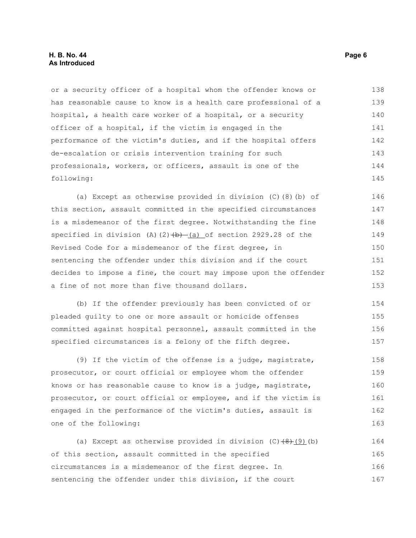#### **H. B. No. 44 Page 6 As Introduced**

or a security officer of a hospital whom the offender knows or has reasonable cause to know is a health care professional of a hospital, a health care worker of a hospital, or a security officer of a hospital, if the victim is engaged in the performance of the victim's duties, and if the hospital offers de-escalation or crisis intervention training for such professionals, workers, or officers, assault is one of the following: 138 139 140 141 142 143 144 145

(a) Except as otherwise provided in division (C)(8)(b) of this section, assault committed in the specified circumstances is a misdemeanor of the first degree. Notwithstanding the fine specified in division (A)(2) $\left(\frac{b}{b}\right)$  (a) of section 2929.28 of the Revised Code for a misdemeanor of the first degree, in sentencing the offender under this division and if the court decides to impose a fine, the court may impose upon the offender a fine of not more than five thousand dollars. 146 147 148 149 150 151 152 153

(b) If the offender previously has been convicted of or pleaded guilty to one or more assault or homicide offenses committed against hospital personnel, assault committed in the specified circumstances is a felony of the fifth degree. 154 155 156 157

(9) If the victim of the offense is a judge, magistrate, prosecutor, or court official or employee whom the offender knows or has reasonable cause to know is a judge, magistrate, prosecutor, or court official or employee, and if the victim is engaged in the performance of the victim's duties, assault is one of the following: 158 159 160 161 162 163

(a) Except as otherwise provided in division  $(C)$   $(8)$   $(9)$  (b) of this section, assault committed in the specified circumstances is a misdemeanor of the first degree. In sentencing the offender under this division, if the court 164 165 166 167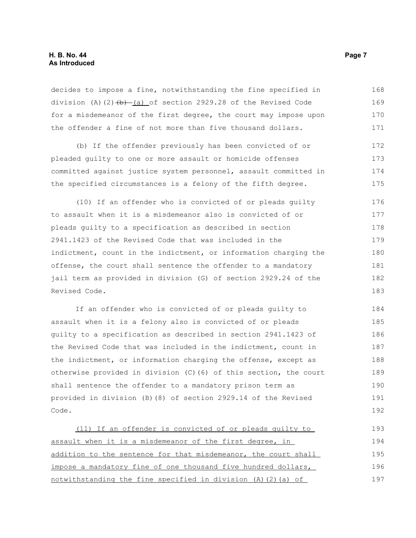#### **H. B. No. 44 Page 7 As Introduced**

decides to impose a fine, notwithstanding the fine specified in division (A)(2) $(b)$  (a) of section 2929.28 of the Revised Code for a misdemeanor of the first degree, the court may impose upon the offender a fine of not more than five thousand dollars. 168 169 170 171

(b) If the offender previously has been convicted of or pleaded guilty to one or more assault or homicide offenses committed against justice system personnel, assault committed in the specified circumstances is a felony of the fifth degree. 172 173 174 175

(10) If an offender who is convicted of or pleads guilty to assault when it is a misdemeanor also is convicted of or pleads guilty to a specification as described in section 2941.1423 of the Revised Code that was included in the indictment, count in the indictment, or information charging the offense, the court shall sentence the offender to a mandatory jail term as provided in division (G) of section 2929.24 of the Revised Code. 176 177 178 179 180 181 182 183

If an offender who is convicted of or pleads guilty to assault when it is a felony also is convicted of or pleads guilty to a specification as described in section 2941.1423 of the Revised Code that was included in the indictment, count in the indictment, or information charging the offense, except as otherwise provided in division (C)(6) of this section, the court shall sentence the offender to a mandatory prison term as provided in division (B)(8) of section 2929.14 of the Revised Code. 184 185 186 187 188 189 190 191 192

(11) If an offender is convicted of or pleads guilty to assault when it is a misdemeanor of the first degree, in addition to the sentence for that misdemeanor, the court shall impose a mandatory fine of one thousand five hundred dollars, notwithstanding the fine specified in division (A)(2)(a) of 193 194 195 196 197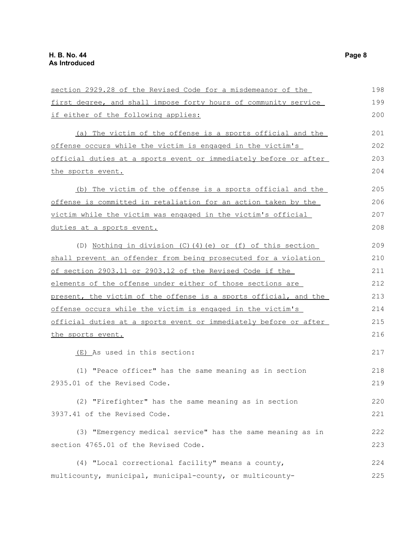| section 2929.28 of the Revised Code for a misdemeanor of the     |     |
|------------------------------------------------------------------|-----|
| first degree, and shall impose forty hours of community service  | 199 |
| if either of the following applies:                              | 200 |
| (a) The victim of the offense is a sports official and the       | 201 |
| offense occurs while the victim is engaged in the victim's       | 202 |
| official duties at a sports event or immediately before or after | 203 |
| the sports event.                                                | 204 |
| (b) The victim of the offense is a sports official and the       | 205 |
| offense is committed in retaliation for an action taken by the   | 206 |
| victim while the victim was engaged in the victim's official     | 207 |
| duties at a sports event.                                        | 208 |
| (D) Nothing in division (C) $(4)$ (e) or (f) of this section     | 209 |
| shall prevent an offender from being prosecuted for a violation  | 210 |
| of section 2903.11 or 2903.12 of the Revised Code if the         | 211 |
| elements of the offense under either of those sections are       | 212 |
| present, the victim of the offense is a sports official, and the | 213 |
| offense occurs while the victim is engaged in the victim's       | 214 |
| official duties at a sports event or immediately before or after | 215 |
| the sports event.                                                | 216 |
| (E) As used in this section:                                     | 217 |
| (1) "Peace officer" has the same meaning as in section           | 218 |
| 2935.01 of the Revised Code.                                     | 219 |
| (2) "Firefighter" has the same meaning as in section             | 220 |
| 3937.41 of the Revised Code.                                     | 221 |
| (3) "Emergency medical service" has the same meaning as in       | 222 |
| section 4765.01 of the Revised Code.                             | 223 |
| (4) "Local correctional facility" means a county,                | 224 |
| multicounty, municipal, municipal-county, or multicounty-        | 225 |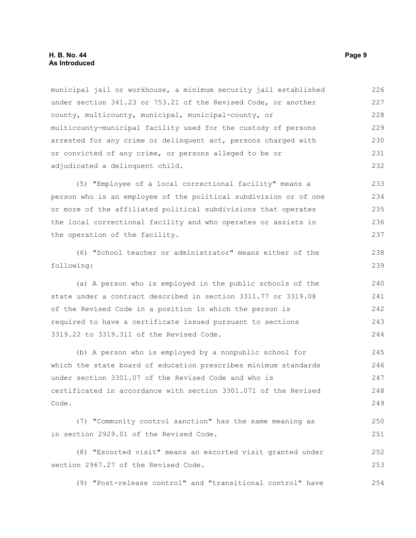municipal jail or workhouse, a minimum security jail established under section 341.23 or 753.21 of the Revised Code, or another county, multicounty, municipal, municipal-county, or multicounty-municipal facility used for the custody of persons arrested for any crime or delinquent act, persons charged with or convicted of any crime, or persons alleged to be or adjudicated a delinquent child. 226 227 228 229 230 231 232

(5) "Employee of a local correctional facility" means a person who is an employee of the political subdivision or of one or more of the affiliated political subdivisions that operates the local correctional facility and who operates or assists in the operation of the facility. 233 234 235 236 237

(6) "School teacher or administrator" means either of the following:

(a) A person who is employed in the public schools of the state under a contract described in section 3311.77 or 3319.08 of the Revised Code in a position in which the person is required to have a certificate issued pursuant to sections 3319.22 to 3319.311 of the Revised Code. 240 241 242 243 244

(b) A person who is employed by a nonpublic school for which the state board of education prescribes minimum standards under section 3301.07 of the Revised Code and who is certificated in accordance with section 3301.071 of the Revised Code. 245 246 247 248 249

(7) "Community control sanction" has the same meaning as in section 2929.01 of the Revised Code. 250 251

(8) "Escorted visit" means an escorted visit granted under section 2967.27 of the Revised Code. 252 253

(9) "Post-release control" and "transitional control" have 254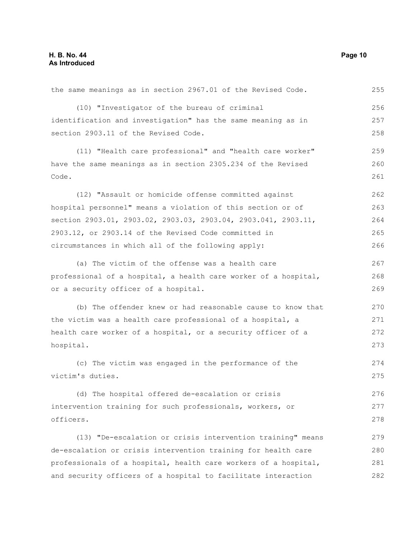| the same meanings as in section 2967.01 of the Revised Code.    | 255 |
|-----------------------------------------------------------------|-----|
| (10) "Investigator of the bureau of criminal                    | 256 |
| identification and investigation" has the same meaning as in    | 257 |
| section 2903.11 of the Revised Code.                            |     |
| (11) "Health care professional" and "health care worker"        | 259 |
| have the same meanings as in section 2305.234 of the Revised    | 260 |
| Code.                                                           | 261 |
| (12) "Assault or homicide offense committed against             | 262 |
| hospital personnel" means a violation of this section or of     | 263 |
| section 2903.01, 2903.02, 2903.03, 2903.04, 2903.041, 2903.11,  | 264 |
| 2903.12, or 2903.14 of the Revised Code committed in            | 265 |
| circumstances in which all of the following apply:              | 266 |
| (a) The victim of the offense was a health care                 | 267 |
| professional of a hospital, a health care worker of a hospital, | 268 |
| or a security officer of a hospital.                            | 269 |
| (b) The offender knew or had reasonable cause to know that      | 270 |
| the victim was a health care professional of a hospital, a      | 271 |
| health care worker of a hospital, or a security officer of a    | 272 |
| hospital.                                                       | 273 |
| (c) The victim was engaged in the performance of the            | 274 |
| victim's duties.                                                | 275 |
| (d) The hospital offered de-escalation or crisis                | 276 |
| intervention training for such professionals, workers, or       | 277 |
| officers.                                                       | 278 |
| (13) "De-escalation or crisis intervention training" means      | 279 |
| de-escalation or crisis intervention training for health care   | 280 |
| professionals of a hospital, health care workers of a hospital, | 281 |
| and security officers of a hospital to facilitate interaction   | 282 |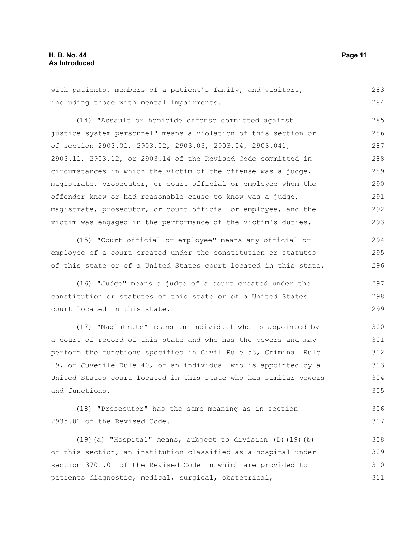with patients, members of a patient's family, and visitors, including those with mental impairments. 283 284

(14) "Assault or homicide offense committed against justice system personnel" means a violation of this section or of section 2903.01, 2903.02, 2903.03, 2903.04, 2903.041, 2903.11, 2903.12, or 2903.14 of the Revised Code committed in circumstances in which the victim of the offense was a judge, magistrate, prosecutor, or court official or employee whom the offender knew or had reasonable cause to know was a judge, magistrate, prosecutor, or court official or employee, and the victim was engaged in the performance of the victim's duties. 285 286 287 288 289 290 291 292 293

(15) "Court official or employee" means any official or employee of a court created under the constitution or statutes of this state or of a United States court located in this state. 294 295 296

(16) "Judge" means a judge of a court created under the constitution or statutes of this state or of a United States court located in this state.

(17) "Magistrate" means an individual who is appointed by a court of record of this state and who has the powers and may perform the functions specified in Civil Rule 53, Criminal Rule 19, or Juvenile Rule 40, or an individual who is appointed by a United States court located in this state who has similar powers and functions. 300 301 302 303 304 305

(18) "Prosecutor" has the same meaning as in section 2935.01 of the Revised Code. 306 307

(19)(a) "Hospital" means, subject to division (D)(19)(b) of this section, an institution classified as a hospital under section 3701.01 of the Revised Code in which are provided to patients diagnostic, medical, surgical, obstetrical, 308 309 310 311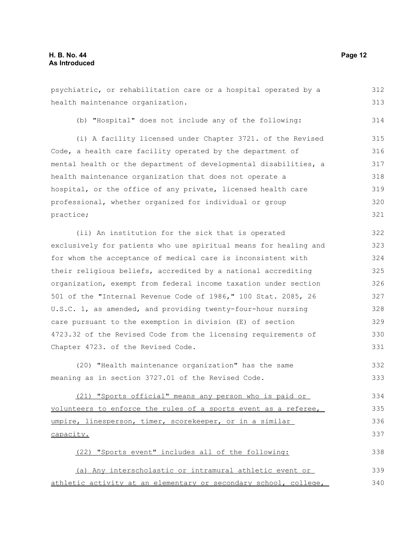psychiatric, or rehabilitation care or a hospital operated by a health maintenance organization. (b) "Hospital" does not include any of the following: (i) A facility licensed under Chapter 3721. of the Revised Code, a health care facility operated by the department of mental health or the department of developmental disabilities, a health maintenance organization that does not operate a hospital, or the office of any private, licensed health care professional, whether organized for individual or group practice; (ii) An institution for the sick that is operated exclusively for patients who use spiritual means for healing and for whom the acceptance of medical care is inconsistent with their religious beliefs, accredited by a national accrediting organization, exempt from federal income taxation under section 501 of the "Internal Revenue Code of 1986," 100 Stat. 2085, 26 U.S.C. 1, as amended, and providing twenty-four-hour nursing care pursuant to the exemption in division (E) of section 4723.32 of the Revised Code from the licensing requirements of Chapter 4723. of the Revised Code. (20) "Health maintenance organization" has the same meaning as in section 3727.01 of the Revised Code. (21) "Sports official" means any person who is paid or volunteers to enforce the rules of a sports event as a referee, umpire, linesperson, timer, scorekeeper, or in a similar capacity. (22) "Sports event" includes all of the following: (a) Any interscholastic or intramural athletic event or 312 313 314 315 316 317 318 319 320 321 322 323 324 325 326 327 328 329 330 331 332 333 334 335 336 337 338 339